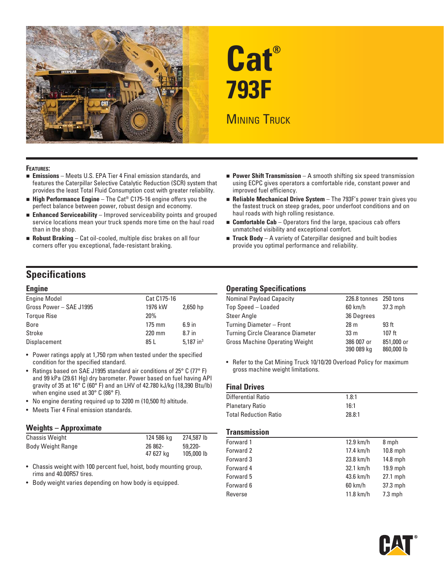

# **Cat® 793F**

# **MINING TRUCK**

#### **FEATURES:**

- **Emissions** Meets U.S. EPA Tier 4 Final emission standards, and features the Caterpillar Selective Catalytic Reduction (SCR) system that provides the least Total Fluid Consumption cost with greater reliability.
- **High Performance Engine** The Cat® C175-16 engine offers you the perfect balance between power, robust design and economy.
- **Enhanced Serviceability** Improved serviceability points and grouped service locations mean your truck spends more time on the haul road than in the shop.
- **Robust Braking** Cat oil-cooled, multiple disc brakes on all four corners offer you exceptional, fade-resistant braking.
- **Power Shift Transmission** A smooth shifting six speed transmission using ECPC gives operators a comfortable ride, constant power and improved fuel efficiency.
- **Reliable Mechanical Drive System** The 793F's power train gives you the fastest truck on steep grades, poor underfoot conditions and on haul roads with high rolling resistance.
- **Comfortable Cab** Operators find the large, spacious cab offers unmatched visibility and exceptional comfort.
- **Truck Body** A variety of Caterpillar designed and built bodies provide you optimal performance and reliability.

## **Specifications**

| <b>Engine Model</b>     | Cat C175-16      |              |
|-------------------------|------------------|--------------|
| Gross Power - SAE J1995 | 1976 kW          | $2,650$ hp   |
| <b>Torque Rise</b>      | 20 <sup>%</sup>  |              |
| Bore                    | $175 \text{ mm}$ | $6.9$ in     |
| Stroke                  | 220 mm           | $8.7$ in     |
| Displacement            | 85 L             | 5.187 in $3$ |

- Power ratings apply at 1,750 rpm when tested under the specified condition for the specified standard.
- Ratings based on SAE J1995 standard air conditions of 25° C (77° F) and 99 kPa (29.61 Hg) dry barometer. Power based on fuel having API gravity of 35 at 16° C (60° F) and an LHV of 42.780 kJ/kg (18,390 Btu/lb) when engine used at 30° C (86° F).
- No engine derating required up to 3200 m (10,500 ft) altitude.
- Meets Tier 4 Final emission standards.

#### **Weights – Approximate**

| <b>Chassis Weight</b>    | 124 586 ka           | 274,587 lb            |
|--------------------------|----------------------|-----------------------|
| <b>Body Weight Range</b> | 26 862-<br>47 627 ka | 59,220-<br>105,000 lb |

- Chassis weight with 100 percent fuel, hoist, body mounting group, rims and 40.00R57 tires.
- Body weight varies depending on how body is equipped.

#### **Engine Operating Specifications**

| <b>Nominal Payload Capacity</b>          | 226.8 tonnes 250 tons    |                          |
|------------------------------------------|--------------------------|--------------------------|
| Top Speed - Loaded                       | 60 km/h                  | $37.3$ mph               |
| <b>Steer Angle</b>                       | 36 Degrees               |                          |
| Turning Diameter - Front                 | 28 <sub>m</sub>          | 93 <sub>ft</sub>         |
| <b>Turning Circle Clearance Diameter</b> | 33 <sub>m</sub>          | $107$ ft                 |
| <b>Gross Machine Operating Weight</b>    | 386 007 or<br>390 089 kg | 851,000 or<br>860,000 lb |

• Refer to the Cat Mining Truck 10/10/20 Overload Policy for maximum gross machine weight limitations.

#### **Final Drives**

| Differential Ratio           | 1.8:1  |
|------------------------------|--------|
| <b>Planetary Ratio</b>       | 16:1   |
| <b>Total Reduction Ratio</b> | 28.8:1 |

#### **Transmission**

| Forward 1 | 12.9 km/h   | 8 mph      |
|-----------|-------------|------------|
| Forward 2 | 17.4 km/h   | $10.8$ mph |
| Forward 3 | 23.8 km/h   | $14.8$ mph |
| Forward 4 | 32.1 km/h   | $19.9$ mph |
| Forward 5 | 43.6 km/h   | $27.1$ mph |
| Forward 6 | $60$ km/h   | 37.3 mph   |
| Reverse   | $11.8$ km/h | $7.3$ mph  |

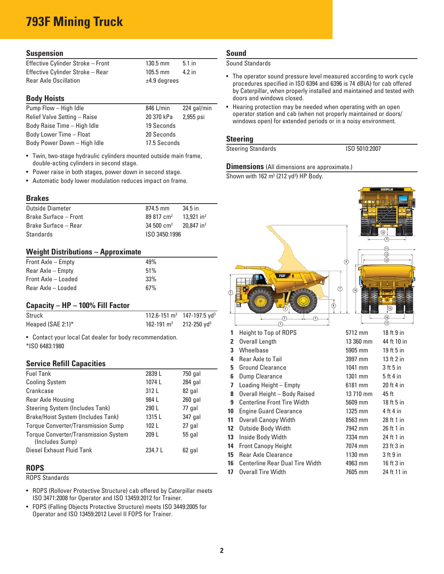# **793F Mining Truck**

#### **Suspension**

| Effective Cylinder Stroke - Front | $130.5$ mm     | $5.1$ in |
|-----------------------------------|----------------|----------|
| Effective Cylinder Stroke - Rear  | $105.5$ mm     | $4.2$ in |
| <b>Rear Axle Oscillation</b>      | $±4.9$ degrees |          |

#### **Body Hoists**

| Pump Flow - High Idle        | 846 L/min    | 224 gal/min |
|------------------------------|--------------|-------------|
| Relief Valve Setting - Raise | 20 370 kPa   | 2,955 psi   |
| Body Raise Time - High Idle  | 19 Seconds   |             |
| Body Lower Time - Float      | 20 Seconds   |             |
| Body Power Down - High Idle  | 17.5 Seconds |             |

- Twin, two-stage hydraulic cylinders mounted outside main frame, double-acting cylinders in second stage.
- Power raise in both stages, power down in second stage.
- Automatic body lower modulation reduces impact on frame.

#### **Brakes**

| Outside Diameter             | $874.5 \text{ mm}$   | 34.5 in                  |
|------------------------------|----------------------|--------------------------|
| <b>Brake Surface - Front</b> | $89817 \text{ cm}^2$ | $13.921$ in <sup>2</sup> |
| Brake Surface – Rear         | $34500 \text{ cm}^2$ | $20.847$ in <sup>2</sup> |
| Standards                    | ISO 3450:1996        |                          |

#### **Weight Distributions – Approximate**

| Front Axle – Empty  | 49% |
|---------------------|-----|
| Rear Axle – Empty   | 51% |
| Front Axle - Loaded | 33% |
| Rear Axle – Loaded  | 67% |

#### **Capacity – HP – 100% Fill Factor**

| Struck               |                        | 112.6-151 $\text{m}^3$ 147-197.5 yd <sup>3</sup> |
|----------------------|------------------------|--------------------------------------------------|
| Heaped (SAE 2:1) $*$ | 162-191 $\mathrm{m}^3$ | $212 - 250$ yd <sup>3</sup>                      |

• Contact your local Cat dealer for body recommendation. \* ISO 6483:1980

#### **Service Refill Capacities**

| <b>Fuel Tank</b>                                               | 2839L   | 750 gal   |
|----------------------------------------------------------------|---------|-----------|
| <b>Cooling System</b>                                          | 1074L   | $284$ gal |
| Crankcase                                                      | 312 L   | 82 gal    |
| Rear Axle Housing                                              | 984 L   | $260$ gal |
| Steering System (Includes Tank)                                | 290 L   | 77 gal    |
| Brake/Hoist System (Includes Tank)                             | 1315L   | 347 gal   |
| <b>Torque Converter/Transmission Sump</b>                      | 102L    | 27 gal    |
| <b>Torque Converter/Transmission System</b><br>(Includes Sump) | 209 L   | 55 gal    |
| Diesel Exhaust Fluid Tank                                      | 234.7 L | 62 gal    |

#### **ROPS**

ROPS Standards

- ROPS (Rollover Protective Structure) cab offered by Caterpillar meets ISO 3471:2008 for Operator and ISO 13459:2012 for Trainer.
- FOPS (Falling Objects Protective Structure) meets ISO 3449:2005 for Operator and ISO 13459:2012 Level II FOPS for Trainer.

#### **Sound**

Sound Standards

- The operator sound pressure level measured according to work cycle procedures specified in ISO 6394 and 6396 is 74 dB(A) for cab offered by Caterpillar, when properly installed and maintained and tested with doors and windows closed.
- Hearing protection may be needed when operating with an open operator station and cab (when not properly maintained or doors/ windows open) for extended periods or in a noisy environment.

#### **Steering**

Steering Standards **ISO 5010:2007** 

#### **Dimensions** (All dimensions are approximate.)

Shown with  $162 \text{ m}^3$  (212 yd<sup>3</sup>) HP Body.

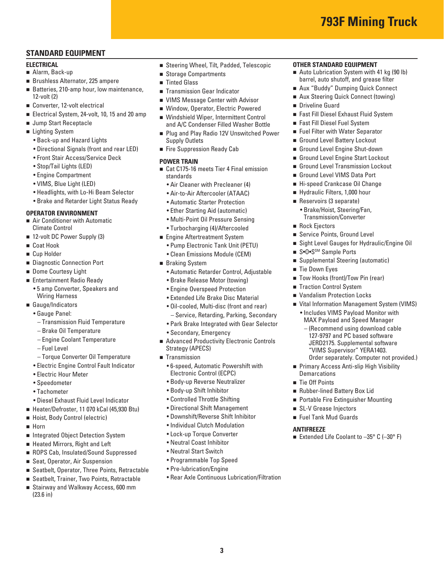#### **STANDARD EQUIPMENT**

#### **ELECTRICAL**

- Alarm, Back-up
- Brushless Alternator, 225 ampere
- Batteries, 210-amp hour, low maintenance, 12-volt (2)
- Converter, 12-volt electrical
- Electrical System, 24-volt, 10, 15 and 20 amp
- **Jump Start Receptacle**
- Lighting System
	- Back-up and Hazard Lights
	- Directional Signals (front and rear LED)
	- Front Stair Access/Service Deck
	- Stop/Tail Lights (LED)
	- Engine Compartment
	- VIMS, Blue Light (LED)
	- Headlights, with Lo-Hi Beam Selector
	- Brake and Retarder Light Status Ready

#### **OPERATOR ENVIRONMENT**

- **Air Conditioner with Automatic** Climate Control
- 12-volt DC Power Supply (3)
- Coat Hook
- Cup Holder
- Diagnostic Connection Port
- Dome Courtesy Light
- **Entertainment Radio Ready** 
	- 5 amp Converter, Speakers and Wiring Harness
- Gauge/Indicators
	- Gauge Panel:
	- Transmission Fluid Temperature
	- Brake Oil Temperature
	- Engine Coolant Temperature
	- Fuel Level
	- Torque Converter Oil Temperature
	- Electric Engine Control Fault Indicator
	- Electric Hour Meter
	- Speedometer
	- Tachometer
	- Diesel Exhaust Fluid Level Indicator
- Heater/Defroster, 11 070 kCal (45,930 Btu)
- Hoist, Body Control (electric)
- $Horn$
- Integrated Object Detection System
- Heated Mirrors, Right and Left
- ROPS Cab, Insulated/Sound Suppressed
- Seat, Operator, Air Suspension
- Seatbelt, Operator, Three Points, Retractable
- Seatbelt, Trainer, Two Points, Retractable
- Stairway and Walkway Access, 600 mm (23.6 in)
- Steering Wheel, Tilt, Padded, Telescopic
- Storage Compartments
- Tinted Glass
- **Transmission Gear Indicator**
- **VIMS Message Center with Advisor**
- Window, Operator, Electric Powered
- Windshield Wiper, Intermittent Control and A/C Condenser Filled Washer Bottle
- **Plug and Play Radio 12V Unswitched Power** Supply Outlets
- Fire Suppression Ready Cab

#### **POWER TRAIN**

- Cat C175-16 meets Tier 4 Final emission standards
	- Air Cleaner with Precleaner (4)
	- Air-to-Air Aftercooler (ATAAC)
	- Automatic Starter Protection
	- Ether Starting Aid (automatic)
	- Multi-Point Oil Pressure Sensing
	- Turbocharging (4)/Aftercooled
- **Engine Aftertreatment System** 
	- Pump Electronic Tank Unit (PETU)
	- Clean Emissions Module (CEM)
- **Braking System** 
	- Automatic Retarder Control, Adjustable
	- Brake Release Motor (towing)
	- Engine Overspeed Protection
	- Extended Life Brake Disc Material
	- Oil-cooled, Multi-disc (front and rear)
	- Service, Retarding, Parking, Secondary
	- Park Brake Integrated with Gear Selector
	- Secondary, Emergency
- Advanced Productivity Electronic Controls Strategy (APECS)
- **Transmission** 
	- 6-speed, Automatic Powershift with Electronic Control (ECPC)
	- Body-up Reverse Neutralizer
	- Body-up Shift Inhibitor
	- Controlled Throttle Shifting
	- Directional Shift Management
	- Downshift/Reverse Shift Inhibitor
	- Individual Clutch Modulation
	- Lock-up Torque Converter
	- Neutral Coast Inhibitor
	- Neutral Start Switch
	- Programmable Top Speed
	- Pre-lubrication/Engine
	- Rear Axle Continuous Lubrication/Filtration

**3** 

#### **OTHER STANDARD EQUIPMENT**

Auto Lubrication System with 41 kg (90 lb) barrel, auto shutoff, and grease filter

**793F Mining Truck** 

- Aux "Buddy" Dumping Quick Connect
- Aux Steering Quick Connect (towing)
- **Driveline Guard**

■ Rock Ejectors

■ Tie Down Eyes

**Demarcations** ■ Tie Off Points

■ Service Points, Ground Level

■ Supplemental Steering (automatic)

■ Tow Hooks (front)/Tow Pin (rear) ■ Traction Control System ■ Vandalism Protection Locks

■ S•O•S<sup>SM</sup> Sample Ports

■ Sight Level Gauges for Hydraulic/Engine Oil

 Vital Information Management System (VIMS) • Includes VIMS Payload Monitor with MAX Payload and Speed Manager – (Recommend using download cable 127-9797 and PC based software JERD2175. Supplemental software "VIMS Supervisor" YERA1403.

Order separately. Computer not provided.)

**Primary Access Anti-slip High Visibility** 

Extended Life Coolant to  $-35^{\circ}$  C ( $-30^{\circ}$  F)

■ Rubber-lined Battery Box Lid ■ Portable Fire Extinguisher Mounting

■ SL-V Grease Injectors ■ Fuel Tank Mud Guards

**ANTIFREEZE** 

- Fast Fill Diesel Exhaust Fluid System
- Fast Fill Diesel Fuel System
- **Fuel Filter with Water Separator** Ground Level Battery Lockout

Ground Level Engine Shut-down Ground Level Engine Start Lockout Ground Level Transmission Lockout Ground Level VIMS Data Port ■ Hi-speed Crankcase Oil Change Hydraulic Filters, 1,000 hour Reservoirs (3 separate) • Brake/Hoist, Steering/Fan, Transmission/Converter